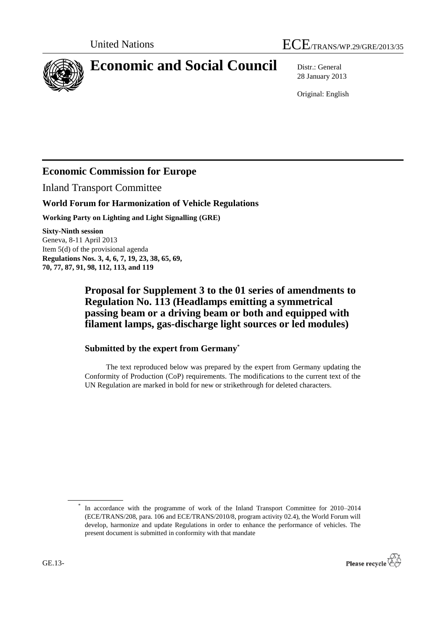

# **Economic and Social Council** Distr.: General

28 January 2013

Original: English

## **Economic Commission for Europe**

Inland Transport Committee

### **World Forum for Harmonization of Vehicle Regulations**

**Working Party on Lighting and Light Signalling (GRE)**

**Sixty-Ninth session** Geneva, 8-11 April 2013 Item 5(d) of the provisional agenda **Regulations Nos. 3, 4, 6, 7, 19, 23, 38, 65, 69, 70, 77, 87, 91, 98, 112, 113, and 119**

## **Proposal for Supplement 3 to the 01 series of amendments to Regulation No. 113 (Headlamps emitting a symmetrical passing beam or a driving beam or both and equipped with filament lamps, gas-discharge light sources or led modules)**

## **Submitted by the expert from Germany\***

The text reproduced below was prepared by the expert from Germany updating the Conformity of Production (CoP) requirements. The modifications to the current text of the UN Regulation are marked in bold for new or strikethrough for deleted characters.

\* In accordance with the programme of work of the Inland Transport Committee for 2010–2014 (ECE/TRANS/208, para. 106 and ECE/TRANS/2010/8, program activity 02.4), the World Forum will develop, harmonize and update Regulations in order to enhance the performance of vehicles. The present document is submitted in conformity with that mandate

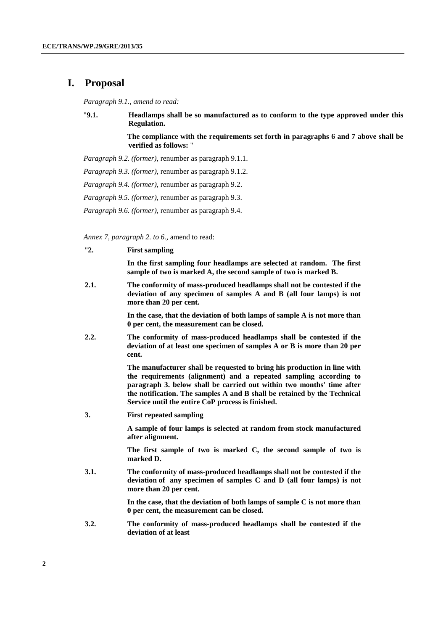#### **I. Proposal**

*Paragraph 9.1., amend to read:*

"**9.1. Headlamps shall be so manufactured as to conform to the type approved under this Regulation.** 

> **The compliance with the requirements set forth in paragraphs 6 and 7 above shall be verified as follows:** "

*Paragraph 9.2. (former)*, renumber as paragraph 9.1.1.

*Paragraph 9.3. (former)*, renumber as paragraph 9.1.2.

*Paragraph 9.4. (former)*, renumber as paragraph 9.2.

*Paragraph 9.5. (former)*, renumber as paragraph 9.3.

*Paragraph 9.6. (former)*, renumber as paragraph 9.4.

*Annex 7, paragraph 2. to 6.,* amend to read:

"**2. First sampling**

**In the first sampling four headlamps are selected at random. The first sample of two is marked A, the second sample of two is marked B.**

**2.1. The conformity of mass-produced headlamps shall not be contested if the deviation of any specimen of samples A and B (all four lamps) is not more than 20 per cent.**

> **In the case, that the deviation of both lamps of sample A is not more than 0 per cent, the measurement can be closed.**

**2.2. The conformity of mass-produced headlamps shall be contested if the deviation of at least one specimen of samples A or B is more than 20 per cent.**

> **The manufacturer shall be requested to bring his production in line with the requirements (alignment) and a repeated sampling according to paragraph 3. below shall be carried out within two months' time after the notification. The samples A and B shall be retained by the Technical Service until the entire CoP process is finished.**

**3. First repeated sampling**

**A sample of four lamps is selected at random from stock manufactured after alignment.**

**The first sample of two is marked C, the second sample of two is marked D.**

**3.1. The conformity of mass-produced headlamps shall not be contested if the deviation of any specimen of samples C and D (all four lamps) is not more than 20 per cent.**

> **In the case, that the deviation of both lamps of sample C is not more than 0 per cent, the measurement can be closed.**

**3.2. The conformity of mass-produced headlamps shall be contested if the deviation of at least**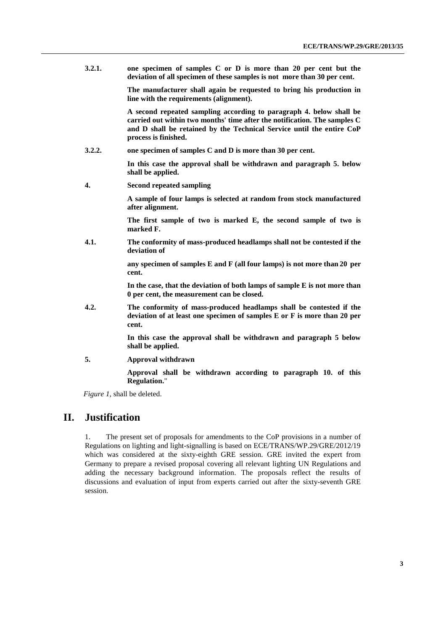**3.2.1. one specimen of samples C or D is more than 20 per cent but the deviation of all specimen of these samples is not more than 30 per cent.** 

> **The manufacturer shall again be requested to bring his production in line with the requirements (alignment).**

> **A second repeated sampling according to paragraph 4. below shall be carried out within two months' time after the notification. The samples C and D shall be retained by the Technical Service until the entire CoP process is finished.**

**3.2.2. one specimen of samples C and D is more than 30 per cent.**

**In this case the approval shall be withdrawn and paragraph 5. below shall be applied.**

**4. Second repeated sampling**

**A sample of four lamps is selected at random from stock manufactured after alignment.** 

**The first sample of two is marked E, the second sample of two is marked F.**

**4.1. The conformity of mass-produced headlamps shall not be contested if the deviation of** 

> **any specimen of samples E and F (all four lamps) is not more than 20 per cent.**

> **In the case, that the deviation of both lamps of sample E is not more than 0 per cent, the measurement can be closed.**

**4.2. The conformity of mass-produced headlamps shall be contested if the deviation of at least one specimen of samples E or F is more than 20 per cent.** 

> **In this case the approval shall be withdrawn and paragraph 5 below shall be applied.**

**5. Approval withdrawn**

**Approval shall be withdrawn according to paragraph 10. of this Regulation.**"

*Figure 1,* shall be deleted.

#### **II. Justification**

1. The present set of proposals for amendments to the CoP provisions in a number of Regulations on lighting and light-signalling is based on ECE/TRANS/WP.29/GRE/2012/19 which was considered at the sixty-eighth GRE session. GRE invited the expert from Germany to prepare a revised proposal covering all relevant lighting UN Regulations and adding the necessary background information. The proposals reflect the results of discussions and evaluation of input from experts carried out after the sixty-seventh GRE session.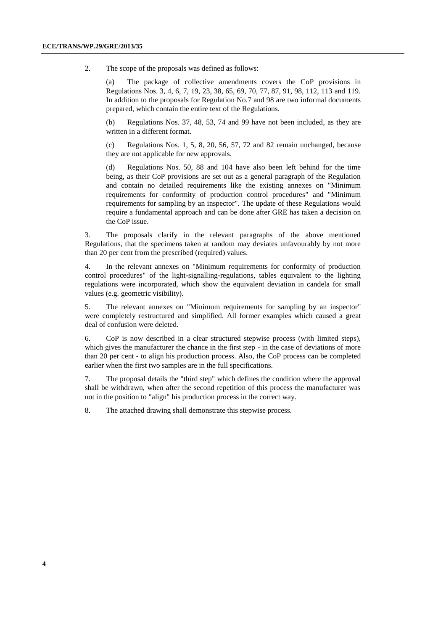2. The scope of the proposals was defined as follows:

The package of collective amendments covers the CoP provisions in Regulations Nos. 3, 4, 6, 7, 19, 23, 38, 65, 69, 70, 77, 87, 91, 98, 112, 113 and 119. In addition to the proposals for Regulation No.7 and 98 are two informal documents prepared, which contain the entire text of the Regulations.

(b) Regulations Nos. 37, 48, 53, 74 and 99 have not been included, as they are written in a different format.

(c) Regulations Nos. 1, 5, 8, 20, 56, 57, 72 and 82 remain unchanged, because they are not applicable for new approvals.

(d) Regulations Nos. 50, 88 and 104 have also been left behind for the time being, as their CoP provisions are set out as a general paragraph of the Regulation and contain no detailed requirements like the existing annexes on "Minimum requirements for conformity of production control procedures" and "Minimum requirements for sampling by an inspector". The update of these Regulations would require a fundamental approach and can be done after GRE has taken a decision on the CoP issue.

3. The proposals clarify in the relevant paragraphs of the above mentioned Regulations, that the specimens taken at random may deviates unfavourably by not more than 20 per cent from the prescribed (required) values.

4. In the relevant annexes on "Minimum requirements for conformity of production control procedures" of the light-signalling-regulations, tables equivalent to the lighting regulations were incorporated, which show the equivalent deviation in candela for small values (e.g. geometric visibility).

5. The relevant annexes on "Minimum requirements for sampling by an inspector" were completely restructured and simplified. All former examples which caused a great deal of confusion were deleted.

6. CoP is now described in a clear structured stepwise process (with limited steps), which gives the manufacturer the chance in the first step - in the case of deviations of more than 20 per cent - to align his production process. Also, the CoP process can be completed earlier when the first two samples are in the full specifications.

7. The proposal details the "third step" which defines the condition where the approval shall be withdrawn, when after the second repetition of this process the manufacturer was not in the position to "align" his production process in the correct way.

8. The attached drawing shall demonstrate this stepwise process.